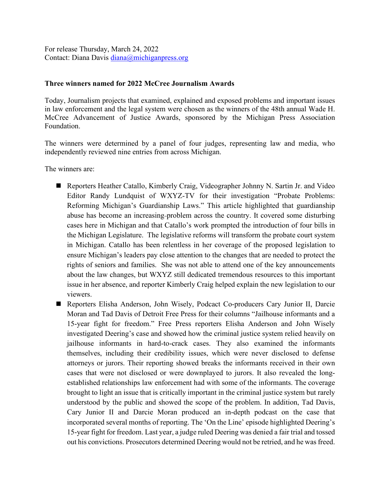For release Thursday, March 24, 2022 Contact: Diana Davis [diana@michiganpress.org](mailto:diana@michiganpress.org)

## **Three winners named for 2022 McCree Journalism Awards**

Today, Journalism projects that examined, explained and exposed problems and important issues in law enforcement and the legal system were chosen as the winners of the 48th annual Wade H. McCree Advancement of Justice Awards, sponsored by the Michigan Press Association Foundation.

The winners were determined by a panel of four judges, representing law and media, who independently reviewed nine entries from across Michigan.

The winners are:

- Reporters Heather Catallo, Kimberly Craig, Videographer Johnny N. Sartin Jr. and Video Editor Randy Lundquist of WXYZ-TV for their investigation "Probate Problems: Reforming Michigan's Guardianship Laws." This article highlighted that guardianship abuse has become an increasing-problem across the country. It covered some disturbing cases here in Michigan and that Catallo's work prompted the introduction of four bills in the Michigan Legislature. The legislative reforms will transform the probate court system in Michigan. Catallo has been relentless in her coverage of the proposed legislation to ensure Michigan's leaders pay close attention to the changes that are needed to protect the rights of seniors and families. She was not able to attend one of the key announcements about the law changes, but WXYZ still dedicated tremendous resources to this important issue in her absence, and reporter Kimberly Craig helped explain the new legislation to our viewers.
- Reporters Elisha Anderson, John Wisely, Podcact Co-producers Cary Junior II, Darcie Moran and Tad Davis of Detroit Free Press for their columns "Jailhouse informants and a 15-year fight for freedom." Free Press reporters Elisha Anderson and John Wisely investigated Deering's case and showed how the criminal justice system relied heavily on jailhouse informants in hard-to-crack cases. They also examined the informants themselves, including their credibility issues, which were never disclosed to defense attorneys or jurors. Their reporting showed breaks the informants received in their own cases that were not disclosed or were downplayed to jurors. It also revealed the longestablished relationships law enforcement had with some of the informants. The coverage brought to light an issue that is critically important in the criminal justice system but rarely understood by the public and showed the scope of the problem. In addition, Tad Davis, Cary Junior II and Darcie Moran produced an in-depth podcast on the case that incorporated several months of reporting. The 'On the Line' episode highlighted Deering's 15-year fight for freedom. Last year, a judge ruled Deering was denied a fair trial and tossed out his convictions. Prosecutors determined Deering would not be retried, and he was freed.